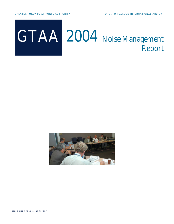

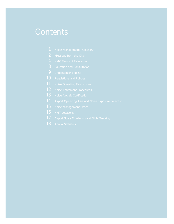### **Contents**

- 
- 
- 
- **8** Education and Consultation
- 
- **10** Regulations and Policies
- **11** Noise Operating Restrictions
- 12 Noise Abatement Procedures
- **13** Noise Aircraft Certification
- **14** Airport Operating Area and Noise Exposure Forecast
- 15 Noise Management Office
- 16 NMT Locations
- 17 Airport Noise Monitoring and Flight Tracking
- **18** Annual Statistics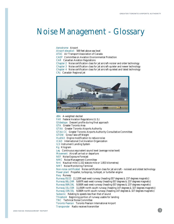# **Noise Management - Glossary**

### **Aerodrome** Airport

**Airport elevation** 569 feet above sea level **ATAC** Air Transport Association of Canada **CAEP** Committee on Aviation Environmental Protection **CAR** Canadian Aviation Regulations **Chapter 2** Noise certification class for jet aircraft-noisier and older technology **Chapter 3** Noise certification class for jet aircraft-quieter and newer technology **Chapter 4** Noise certification class for jet aircraft-quietest and latest technology **CRJ** Canadair Regional Jet



**dBA** A-weighted decibel **FAR** Federal Aviation Regulations (U.S.) **Glideslope** Descent profile during final approach **GTA** Greater Toronto Area **GTAA** Greater Toronto Airports Authority **GTAA CC** Greater Toronto Airports Authority Consultative Committee **GTOW** Gross Take-off Weight **Hushkit** Engine modification to reduce noise **ICAO** International Civil Aviation Organization **ILS** Instrument Landing System **Kg** Kilogram **Leq** Continuous equivalent sound level (average noise level) **Movement** Aircraft arrival or departure **NEF** Noise Exposure Forecast **NMC** Noise Management Committee **Nmi** Nautical mile (1.152 statute mile or 1.853 kilometres) **NMT** Noise Monitoring Terminal **Non-noise certificated** Noise certification class for jet aircraft - noisiest and oldest technology Power plant Propeller, turboprop, turbojet, or turbofan engine **Rwy** Runway **Runway 05/23** 11,120ft east-west runway (heading 057 degrees & 237 degrees magnetic) **Runway 06L/24R** 9,697ft east-west runway (heading 057 degrees & 237 degrees magnetic) **Runway 06R/24L** 9,000ft east-west runway (heading 057 degrees & 237 degrees magnetic) **Runway 15L/33R** 11,050ft north-south runway (heading 147 degrees & 327 degrees magnetic) **Runway 15R/33L** 9,080ft north-south runway (heading 147 degrees & 327 degrees magnetic) **Subsonic** Relating to speeds less than that of sound **Threshold** Beginning portion of runway usable for landing **TNC** Technical Noise Committee **Toronto Pearson** Toronto Pearson International Airport

**Transponder** Radio receiver/transmitter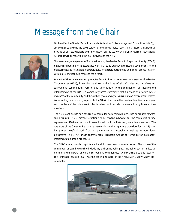# **Message from the Chair**



On behalf of the Greater Toronto Airports Authority's Noise Management Committee (NMC), I am pleased to present the 2004 edition of the annual noise report. This report is intended to provide airport stakeholders with information on the activity at Toronto Pearson International Airport as well as report on the 2004 activities of the NMC.

Since assuming management of Toronto Pearson, the Greater Toronto Airports Authority (GTAA) has taken responsibility, in accordance with its Ground Lease with the federal government, for the management and mitigation of aircraft noise for aircraft operating to and from Toronto Pearson within a 10 nautical mile radius of the airport.

While the GTAA maintains and promotes Toronto Pearson as an economic asset for the Greater Toronto Area (GTA), it remains sensitive to the issue of aircraft noise and its effects on surrounding communities. Part of this commitment to the community has involved the establishment of the NMC, a community-based committee that functions as a forum where members of the community and the Authority can openly discuss noise and environment related issues. Acting in an advisory capacity to the GTAA, the committee meets at least five times a year and members of the public are invited to attend and provide comments directly to committee members.

The NMC continues to be a constructive forum for noise mitigation issues to be brought forward and discussed. NMC members continue to be effective advocates for the communities they represent and 2004 saw the committee continue to build on their many notable achievements. The operators of the Canadair Regional Jet have maintained a departure procedure for the CRJ that has proven beneficial both from an environmental standpoint as well as an operational perspective. The GTAA awaits approval from Transport Canada to formalize the permanent implementation of this procedure.

The NMC also actively brought forward and discussed environmental issues. The scope of the committee has been increased to include any environmental impacts, including, but not limited to noise, that the airport has on the surrounding communities. A key element to this focus on environmental issues in 2004 was the continuing work of the NMC's Air Quality Study subcommittee.

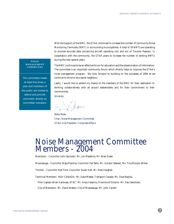With the support of the NMC, the GTAA continued to increase the number of community Noise Monitoring Terminals (NMT) in surrounding municipalities. A total of 19 NMTs are operating to provide accurate data concerning aircraft operating into and out of Toronto Pearson. In cooperation with the community, the GTAA plans to increase the number of existing NMTs during the next several years.

#### **NOISE MANAGEMENT COMMITTEE**

The committee meets at least five times a year and members of the public are invited to attend and provide comments directly to committee members.

The NMC continues to be an effective forum for education and the dissemination of information. The committee is an important community forum which directly helps to improve the GTAA's noise management program. We look forward to building on the successes of 2004 as we continue to strive to be a good neighbour.

Lastly, I would like to extend my thanks to the members of the NMC for their dedication to working collaboratively with all airport stakeholders and for their commitment to their communities.

Sincerely,

Tihan

Steve Shaw Chair, Noise Management Committee GTAA Vice President, Corporate Affairs

### **Noise Management Committee Members - 2004**

**Brampton** - Councillor John Sprovieri, Mr. Jim Medeiros, Mr. Brad Green

**Mississauga** - Councillor Maja Prentice, Councillor Pat Saito, Mr. Gordon Stewart, Ms. Tina Rizzuto-Willan

**Toronto** - Councillor Rob Ford, Councillor Suzan Hall, Mr. Ross Vaughan

**Technical Members**- NAV CANADA- Mr. Dave Mastel, Transport Canada- Mr. Dave Bayliss,

Pilot-Captain Brian Harkness, ATAC- Mr. Andy Vasarins, Province of Ontario- Mr. Paul Steckham,

City of Brampton- Mr. David Waters, City of Mississauga- Mr. John Calvert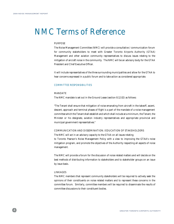# **NMC Terms of Reference**

### **PURPOSE**

The Noise Management Committee (NMC) will provide a consultative / communication forum for community stakeholders to meet with Greater Toronto Airports Authority (GTAA) Management and other aviation community representatives to discuss issues relating to the mitigation of aircraft noise in the community. The NMC will be an advisory body for the GTAA President and Chief Executive Officer.

It will include representatives of the three surrounding municipalities and allow for the GTAA to hear concerns expressed in a public forum and to take action as considered appropriate.

#### **COMMITTEE RESPONSIBILITIES**

### **MANDATE**

The NMC mandate is set out in the Ground Lease (section 8.12.02) as follows:

"The Tenant shall ensure that mitigation of noise emanating from aircraft in the takeoff, ascent, descent, approach and terminal phases of flight is a part of the mandate of a noise management committee which the Tenant shall establish and which shall include at a minimum, the Tenant, the Minister or his designate, aviation industry representatives and appropriate provincial and municipal government representatives."

### **COMMUNICATION AND DISSEMINATION / EDUCATION OF STAKEHOLDERS**

The NMC will act in an advisory capacity to the GTAA on all issues relating

to Toronto Pearson's Noise Management Policy with a view to improving the GTAA's noise mitigation program, and promote the objectives of the Authority respecting all aspects of noise management.

The NMC will provide a forum for the discussion of noise related matters and will decide on the best methods of distributing information to stakeholders and to stakeholder groups on an issue by issue basis.

#### **LINKAGES**

The NMC members that represent community stakeholders will be required to actively seek the opinions of their constituents on noise related matters and to represent these concerns in the committee forum. Similarly, committee members will be required to disseminate the results of committee discussions to their constituent bodies.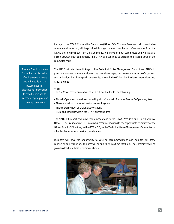Linkage to the GTAA Consultative Committee (GTAA CC), Toronto Pearson's main consultative communication forum, will be provided through common membership. One member from the GTAA and one member from the Community will serve on both committees and will act as a liaison between both committees. The GTAA will continue to perform this liaison through the committee chair.

The NMC will also have linkage to the Technical Noise Management Committee (TNC) to provide a two-way communication on the operational aspects of noise monitoring, enforcement, and mitigation. This linkage will be provided through the GTAA Vice President, Operations and Chief Engineer.

### **SCOPE**

The NMC will advise on matters related but not limited to the following:

- Aircraft Operation procedures impacting aircraft noise in Toronto Pearson's Operating Area.
- The examination of alternatives for noise mitigation.
- The enforcement of aircraft noise violations.

- Municipal land use within the GTAA operating area.

The NMC will report and make recommendations to the GTAA President and Chief Executive Officer. The President and CEO may refer recommendations to the appropriate committee of the GTAA Board of Directors, to the GTAA CC, to the Technical Noise Management Committee or other bodies as appropriate for consideration.

Members will have the opportunity to vote on recommendations and minutes will show conclusion and resolution. Minutes will be published in a timely fashion. The Committee will be given feedback on these recommendations.



The NMC will provide a forum for the discussion of noise related matters and will decide on the best methods of distributing information to stakeholders and to stakeholder groups on an issue by issue basis.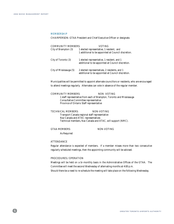### **MEMBERSHIP**

**CHAIRPERSON:** GTAA President and Chief Executive Officer or designate.

| <b>COMMUNITY MEMBERS:</b> | VOTING                                                                                             |  |  |  |
|---------------------------|----------------------------------------------------------------------------------------------------|--|--|--|
| City of Brampton (3)      | 1 elected representative, 1 resident, and<br>1 additional to be appointed at Council discretion.   |  |  |  |
| City of Toronto (3)       | 1 elected representative, 1 resident, and 1<br>additional to be appointed at Council discretion.   |  |  |  |
| City of Mississauga (5)   | 2 elected representatives, 2 residents, and 1<br>additional to be appointed at Council discretion. |  |  |  |

Municipalities will be permitted to appoint alternate councillors or residents, who are encouraged to attend meetings regularly. Alternates can vote in absence of the regular member.

#### **COMMUNITY MEMBERS:** NON -VOTING

1 staff representative from each of Brampton, Toronto and Mississauga Consultative Committee representative Province of Ontario Staff representative

### **TECHNICAL MEMBERS: NON-VOTING**

Transport Canada regional staff representative Nav Canada and ATAC representatives Technical members, Nav Canada and ATAC, will support (NMC).

### **GTAA MEMBERS: NON-VOTING**

As Required

### **ATTENDANCE**

Regular attendance is expected of members. If a member misses more than two consecutive regularly scheduled meetings, then the appointing community will be advised.

### **PROCEDURES / OPERATION**

Meetings will be held on a bi-monthly basis in the Administrative Offices of the GTAA. The Committee will meet the second Wednesday of alternating months at 4:00 p.m.

Should there be a need to re-schedule the meeting will take place on the following Wednesday.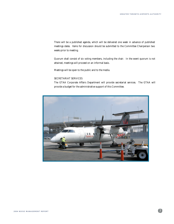There will be a published agenda, which will be delivered one week in advance of published meetings dates. Items for discussion should be submitted to the Committee Chairperson two weeks prior to meeting.

Quorum shall consist of six voting members, including the chair. In the event quorum is not attained, meetings will proceed on an informal basis.

Meetings will be open to the public and to the media.

### **SECRETARIAT SERVICES**

The GTAA Corporate Affairs Department will provide secretariat services. The GTAA will provide a budget for the administrative support of this Committee.

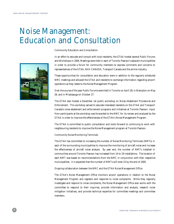# **Noise Management: Education and Consultation**



### **Community Education and Consultation**

In an effort to educate and consult with local residents, the GTAA hosted several Public Forums and Workshops in 2004. Meetings were held in each of Toronto Pearson's adjacent municipalities in order to provide a forum for community members to express comments and concerns to representatives of the GTAA, NAV CANADA, Transport Canada and the airline industry.

These opportunities for consultation and education were in addition to the regularly scheduled NMC meetings and allowed the GTAA and residents to exchange information regarding airport operations as they relate to the Noise Management Program.

Over the course of the year Public Forums were held in Toronto on April 28, in Brampton on May 26, and in Mississauga on October 27.

The GTAA also hosted a December 1st public workshop on Noise Abatement Procedures and Enforcement. This workshop served to educate interested residents on the GTAA and Transport Canada's noise abatement and enforcement programs and initiatives at Toronto Pearson. Input from participants at the workshop was forwarded to the NMC for its review and analyzed by the GTAA in order to improve the effectiveness of the GTAA's Noise Management Program.

The GTAA is committed to public consultation and looks forward to continuing to work with neighbouring residents to improve the Noise Management program at Toronto Pearson.

#### **Community Noise Monitoring Terminals**

The GTAA has committed to increasing the number of Noise Monitoring Terminals (NMTs) in each of the surrounding municipalities to improve the monitoring of aircraft noise and increase the effectiveness of aircraft noise analysis. By year end, the number of NMTs installed in communities around Toronto Pearson has increased from 14 to 19 installations. The location of each NMT was based on recommendations from the NMC in conjunction with their respective municipalities. It is expected that the number of NMTs will total 23 by the end of 2005.

#### **Ongoing collaboration between the NMC and the GTAA Noise Management Office**

The GTAA's Noise Management Office monitors airport operations in relation to the Noise Management Program and registers and responds to noise complaints. While they regularly investigate and respond to noise complaints, the Noise Management Office also works with the committee to respond to their inquiries, provide information and analysis, research noise mitigation initiatives, and provide technical expertise for committee meetings and committee members.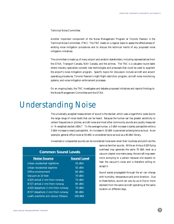#### **Technical Noise Committee**

Another important component of the Noise Management Program at Toronto Pearson is the Technical Noise Committee. (TNC) The TNC meets on a regular basis to assess the effectiveness of existing noise mitigation procedures and to discuss the technical merits of any proposed noise mitigation initiatives.

The committee is made up of many airport and aviation stakeholders, including representatives from the GTAA, Transport Canada, NAV Canada, and the airlines. The TNC is a valuable round-table where industry specialists consider new technologies and proposals that could be used to augment the airport's noise mitigation program. Specific topics for discussion include aircraft and airport operating procedures, Toronto Pearson's night flight restriction program, aircraft noise monitoring systems, and noise mitigation enforcement processes.

On an ongoing basis, the TNC investigates and debates proposed initiatives and reports findings to the Noise Management Committee and the GTAA.

## **Understanding Noise**

The universally accepted measurement of sound is the decibel, which uses a logarithmic scale due to the large range of noise levels that can be heard. Because the human ear has greater sensitivity to certain frequencies or pitches, aircraft noise and most other community sounds are usually measured in "A-weighted decibel (dBA)". To the average human, a 3 dBA increase is barely perceptible while a 5 dBA increase is clearly perceptible. An increase in 10 dBA is perceived as being twice as loud. As an example, general office noise at 50 dBA is considered twice as loud as a 40 dBA library.

Unwanted or unexpected sounds can be considered noise even when their loudness and pitch are the

| <b>Noise Source</b>              | <b>Sound Level</b> |
|----------------------------------|--------------------|
| Urban residential nighttime      | 50 dBA             |
| Urban residential daytime        | $55$ dBA           |
| Office environment               | $60$ dBA           |
| Vacuum at 10 feet                | 70 dBA             |
| A320 arrival 2 nmi from runway   | 75 dBA             |
| B727 arrival 2 nmi from runway   | 85 dBA             |
| A320 departure 2 nmi from runway | 70 dBA             |
| B727 departure 2 nmi from runway | $80$ dBA           |
| Leafs overtime win versus Ottawa | 100 dBA            |

### **Common Sound Levels**

same as familiar sounds. While an Airbus A320 flying overhead may generate the same 70 dBA level as a vacuum cleaner one metre away, the aircraft may seem more annoying to a person because one expects to hear the vacuum's noise and is therefore willing to accept it.

Sound waves propagated through the air can change with humidity, temperature and wind direction. Due to these factors, sound can vary by up to five or more decibels from the same aircraft operating at the same location on different days.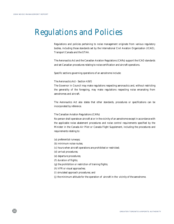# **Regulations and Policies**

Regulations and policies pertaining to noise management originate from various regulatory bodies, including those standards set by the International Civil Aviation Organization (ICAO), Transport Canada and the GTAA.

The Aeronautics Act and the Canadian Aviation Regulations (CARs) support the ICAO standards and set Canadian procedures relating to noise certification and aircraft operations.

Specific sections governing operations of an aerodrome include:

#### The Aeronautics Act - Section 4.9(f)

The Governor in Council may make regulations respecting aeronautics and, without restricting the generality of the foregoing, may make regulations respecting noise emanating from aerodromes and aircraft.

The Aeronautics Act also states that other standards, procedures or specifications can be incorporated by reference.

The Canadian Aviation Regulations (CARs)

No person shall operate an aircraft at or in the vicinity of an aerodrome except in accordance with the applicable noise abatement procedures and noise control requirements specified by the Minister in the Canada Air Pilot or Canada Flight Supplement, including the procedures and requirements relating to:

- (a) preferential runways;
- (b) minimum noise routes;
- (c) hours when aircraft operations are prohibited or restricted;
- (d) arrival procedures;
- (e) departure procedures;
- (f) duration of flights;
- (g) the prohibition or restriction of training flights;
- (h) VFR or visual approaches;
- (i) simulated approach procedures; and
- (j) the minimum altitude for the operation of aircraft in the vicinity of the aerodrome.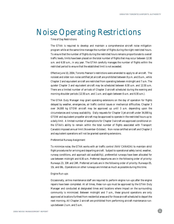# **Noise Operating Restrictions**

### **Time of Day Restrictions**

The GTAA is required to develop and maintain a comprehensive aircraft noise mitigation program while at the same time manage the number of flights during the night restricted hours. To ensure that the number of flights during the restricted hours remains proportionate to overall traffic levels, limits have been placed on the total number of flights that may occur between 12:30 a.m. and 6:30 a.m., in any year. The GTAA carefully manages the number of flights within the restricted period to ensure that the established limit is not exceeded.

Effective June 10, 2004, Toronto Pearson's restrictions were amended to apply to all aircraft. The noisiest and older non-noise certified jet aircraft are prohibited between 8 p.m. and 8 a.m., while Chapter 2 and equivalent aircraft are restricted from operating between midnight and 7 a.m. The quieter Chapter 3 and equivalent aircraft may be scheduled between 6:30 a.m. and 12:30 a.m. There are a limited number of arrivals of Chapter 3 aircraft scheduled during the evening and morning shoulder periods (12:30 a.m. and 1 a.m. and again between 6 a.m. and 6:30 a.m.).

The GTAA Duty Manager may grant operating extensions on the day of operation for flights delayed by weather, emergencies, air traffic control issues or mechanical difficulties. Chapter 3 over 34,000 kg GTOW aircraft may be approved up until 3 a.m. depending upon the circumstances and runway availability. Daily requests for Chapter 3 jet aircraft under 34,000 kg GTOW and equivalent propeller aircraft may be approved to operate in the restricted hours up to a daily limit. A limited number of exemptions for Chapter 3 aircraft are approved conditional on the GTAA's ability to remain within the total number of flights associated with Transport Canada's imposed annual limit (November-October). Non-noise certified aircraft and Chapter 2 and equivalent operations will not be granted operating extensions.

#### **Preferential Runway Assignment**

To minimize noise, the GTAA works with air traffic control (NAV CANADA) to maintain strict flight procedures for arriving and departing aircraft. Subject to operational safety (wind, weather, runway conditions, and approach aid availability), preferential runways have been allocated for use between midnight and 6:30 a.m. Preferred departures are in the following order of priority: Runways 23, 33R and 24R. Preferred arrivals are in the following order of priority: Runways 05, 15L and 06L. Operations on other runways are limited as much as possible during this time.

### **Engine Run-ups**

Occasionally, airline maintenance staff are required to perform engine run-ups after the engine repairs have been completed. At all times, these run-ups must be approved by the GTAA Duty Manager and conducted at designated times and locations where impact on the surrounding community is minimized. Between midnight and 7 a.m., these ground operations are only approved at locations furthest from residential areas and for those aircraft scheduled to depart the next morning. All Chapter 2 aircraft are prohibited from performing aircraft maintenance runups between 2 a.m. and 5 a.m.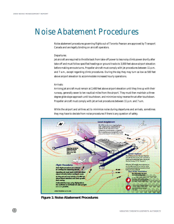# **Noise Abatement Procedures**

Noise abatement procedures governing flights out of Toronto Pearson are approved by Transport Canada and are legally binding on aircraft operators.

#### **Departures:**

Jet aircraft are required to throttle back from take-off power to less noisy climb power shortly after take-off and must follow specified headings or ground tracks to 3,000 feet above airport elevation before making enroute turns. Propeller aircraft must comply with jet procedures between 11 p.m. and 7 a.m., except regarding climb procedures. During the day they may turn as low as 500 feet above airport elevation to accommodate increased hourly operations.

#### **Arrivals:**

Arriving jet aircraft must remain at 2,400 feet above airport elevation until they line up with their runway, generally seven to ten nautical miles from the airport. They must then maintain a threedegree glide slope approach until touchdown, and minimize noisy reverse thrust after touchdown. Propeller aircraft must comply with jet arrival procedures between 11 p.m. and 7 a.m.

While the airport and airlines act to minimize noise during departures and arrivals, sometimes they may have to deviate from noise procedures if there is any question of safety.



**Figure 1: Noise Abatement Procedures**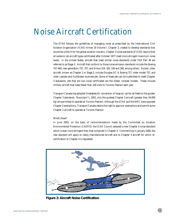# **Noise Aircraft Certification**

The GTAA follows the guidelines of managing noise as prescribed by the International Civil Aviation Organization (ICAO) Annex 16 Volume I, Chapter 3, created to develop standards that would be uniform for the global aviation industry. Chapter 3 noise standards of ICAO require that all subsonic jet aircraft types certificated after October 1977 meet more stringent maximum noise levels. In the United States, aircraft that meet similar noise standards under FAR Part 36 are referred to as Stage 3. Aircraft that conform to those noise emission standards include the Boeing 747-400, new generation 737, 757, and Airbus 319, 320, 330 and 340, among others. Noisier, older aircraft, known as Chapter 2 or Stage 2, include Douglas DC-9, Boeing 727, older model 737, and older Learjets and Gulfstream business jets. Some of these jets can be hushkitted to meet Chapter 3 standards. Jets that are non-noise certificated are the oldest, noisiest models. These include military aircraft that make fewer than 100 visits to Toronto Pearson each year.

Transport Canada has adopted timetables for conversion of large air carrier jet fleets to the quieter Chapter 3 standards. Since April 1, 2002, only the quietest Chapter 3 aircraft (greater than 34,000 kg) are permitted to operate at Toronto Pearson. Although the GTAA and the NMC have opposed Chapter 2 exemptions, Transport Canada retains the right to approve exemptions and permit some Chapter 2 aircraft to operate at Toronto Pearson.

### **What's Next?**

In June 2001, on the basis of recommendations made by the Committee on Aviation Environmental Protection (CAEP/5), the ICAO Council adopted a new Chapter 4 noise standard which is even more stringent than that contained in Chapter 3. Commencing in January 2006, the new standard will apply to newly manufactured aircraft and to Chapter 3 aircraft for which recertification to Chapter 4 is requested.



**Figure 2: Aircraft Noise Certification**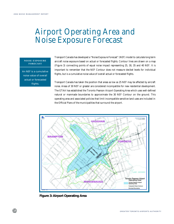## **Airport Operating Area and Noise Exposure Forecast**

### **NOISE EXPOSURE FORECAST**

An NEF is a cumulative noise value of overall actual or forecasted flights.

Transport Canada has developed a "Noise Exposure Forecast" (NEF) model to calculate long term aircraft noise exposure based on actual or forecasted flights. Contour lines are drawn on a map (Figure 3) connecting points of equal noise impact representing 25, 30, 35 and 40 NEF. It is important to remember that the NEF Contour does not measure decibel levels for individual flights, but is a cumulative noise value of overall actual or forecasted flights.

Transport Canada has taken the position that areas as low as 25 NEF may be affected by aircraft noise. Areas of 30 NEF or greater are considered incompatible for new residential development. The GTAA has established the Toronto Pearson Airport Operating Area which uses well-defined natural or manmade boundaries to approximate the 30 NEF Contour on the ground. This operating area and associated policies that limit incompatible sensitive land uses are included in the Official Plans of the municipalities that surround the airport.



**Figure 3: Airport Operating Area**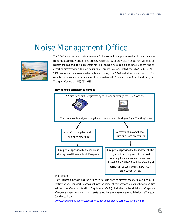### **Noise Management Office**



The GTAA maintains a Noise Management Office to monitor airport operations in relation to the Noise Management Program. The primary responsibility of the Noise Management Office is to register and respond to noise complaints. To register a noise complaint concerning arriving or departing aircraft within 10 nautical miles of Toronto Pearson, contact the GTAA at (416) 247- 7682. Noise complaints can also be registered through the GTAA web site at www.gtaa.com. For complaints concerning en route aircraft or those beyond 10 nautical miles from the airport, call Transport Canada at (416) 952-0335.

#### **How a noise complaint is handled**



### **Enforcement**

Only Transport Canada has the authority to issue fines to aircraft operators found to be in contravention. Transport Canada publishes the names of corporations violating the Aeronautics Act and the Canadian Aviation Regulations (CARs), including noise violations. Corporate offenders along with a summary of the offence and the resulting sanctions are published on the Transport Canada web site at:

www.tc.gc.ca/civilaviation/regserv/enforcement/publications/corporate/summary.htm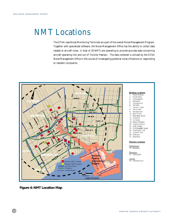# **NMT Locations**

The GTAA uses Noise Monitoring Terminals as a part of the overall Noise Management Program. Together with specialized software, the Noise Management Office has the ability to collect data related to aircraft noise. A total of 20 NMTs are operating to provide accurate data concerning aircraft operating into and out of Toronto Pearson. The data collected is utilized by the GTAA Noise Management Office in the course of investigating potential noise infractions or responding to resident complaints.



**Figure 4: NMT Location Map**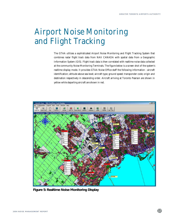# **Airport Noise Monitoring and Flight Tracking**

The GTAA utilizes a sophisticated Airport Noise Monitoring and Flight Tracking System that combines radar flight track data from NAV CANADA with spatial data from a Geographic Information System (GIS). Flight track data is then correlated with realtime noise data collected at the community Noise Monitoring Terminals. The figure below is a screen shot of the system's realtime display mode. It provides GTAA Noise Office staff the following information : aircraft identification; altitude above sea level; aircraft type; ground speed; transponder code; origin and destination respectively in descending order. Aircraft arriving at Toronto Pearson are shown in yellow while departing aircraft are shown in red.



**Figure 5: Realtime Noise Monitoring Display**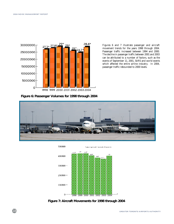

Figures 6 and 7 illustrate passenger and aircraft movement trends for the years 1998 through 2004. Passenger traffic increased between 1994 and 2000. The decline in passenger traffic between 2001 and 2003 can be attributed to a number of factors, such as the events of September 11, 2001, SARS and world events which affected the entire airline industry. In 2004, passenger traffic rebounded to 2000 levels.

**Figure 6: Passenger Volumes for 1998 through 2004**





**Figure 7: Aircraft Movements for 1998 through 2004**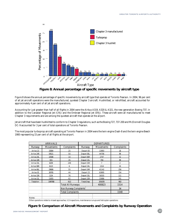

**Figure 8: Annual percentage of specific movements by aircraft type**

Figure 8 shows the annual percentage of specific movements by aircraft type that operate at Toronto Pearson. In 2004, 96 per cent of all jet aircraft operations were the manufactured, quietest Chapter 3 aircraft. Hushkitted, or retrofitted, aircraft accounted for approximately 4 per cent of all jet aircraft operations.

Accounting for just greater than half of all flights in 2004 were the Airbus A319, A320 & A321, the new generation Boeing 737, in addition to the Canadair Regional Jet (CRJ) and the Embraer Regional Jet (ERJ). These aircraft were all manufactured to meet Chapter 3 requirements and are among the quietest aircraft that operate at the airport.

Jet aircraft that have been hushkitted to conform to Chapter 3 regulations, such as the Boeing 727, 737-200 and McDonnell Douglas DC-9 accounted for 3 per cent of total operations at Toronto Pearson.

The most popular turboprop aircraft operating at Toronto Pearson in 2004 were the twin engine Dash-8 and the twin engine Beech 1900 representing 15 per cent of all flights at the airport.

| <b>ARRIVALS</b>  |                         |                              | <b>DEPARTURES</b> |                  |                   |  |
|------------------|-------------------------|------------------------------|-------------------|------------------|-------------------|--|
| <b>Runway</b>    | <b>Movements</b>        | <b>Complaints</b>            | <b>Runway</b>     | <b>Movements</b> | <b>Complaints</b> |  |
| Arrive 23        | 33084                   | 25                           | Depart 05         | 13993            | 18                |  |
| Arrive 24R       | 59521                   | 50                           | Depart 06L        | 44706            | 99                |  |
| Arrive 24L       | 10586                   | 10                           | Depart 06R        | 2747             | 12                |  |
| Arrive 33R       | 915                     | 35                           | Depart 15L        | 790              | 99                |  |
| Arrive 33L       | 8209                    | 249                          | Depart 15R        | 7                | $\boldsymbol{2}$  |  |
| Arrive 06R       | 6123                    | 6                            | Depart 24L        | 1314             | 10                |  |
| Arrive 06L       | 29686                   | 55                           | Depart 24R        | 41142            | 256               |  |
| Arrive 05        | 38785                   | 44                           | Depart 23         | 63895            | 154               |  |
| Arrive 15R       | 1224                    | 76                           | Depart 33L        | 16555            | 111               |  |
| Arrive 15L       | 11655                   | 62                           | Depart 33R        | 15886            | 141               |  |
| <b>Total Arr</b> | 199788                  | 612                          | <b>Total Dep</b>  | 201035           | 902               |  |
|                  |                         | <b>Total All Runways</b>     |                   | 400823           | 1514              |  |
|                  |                         | <b>Non Runway Complaints</b> | 34                |                  |                   |  |
|                  | <b>Total Complaints</b> |                              |                   |                  | 1548              |  |
| Notes:           |                         |                              |                   |                  |                   |  |

Other operations relate to missed approaches, ILS inspections, maintenance runups and helicopter operations

**Figure 9: Comparison of Aircraft Movements and Complaints by Runway Operation**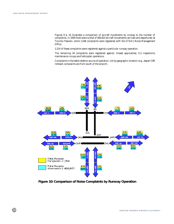Figures 9 & 10 illustrates a comparison of aircraft movements by runway to the number of complaints. In 2004 there were a total of 400,823 aircraft movements (arrivals and departures) at Toronto Pearson, while 1,548 complaints were registered with the GTAA's Noise Management Office.

1,514 of these complaints were registered against a particular runway operation.

The remaining 34 complaints were registered against: missed approaches; ILS inspections; maintenance runups and helicopter operations.

Complaints in the table relate to source of operation, not by geographic location (e.g., depart 33R rollback complaints are from south of the airport).



**Figure 10: Comparison of Noise Complaints by Runway Operation**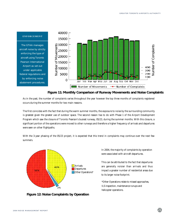

### **Figure 11: Monthly Comparison of Runway Movements and Noise Complaints**

As in the past, the number of complaints varies throughout the year however the top three months of complaints registered occurs during the summer months for two main reasons.

The first coincides with the fact that during the warm summer months, the exposure to noise by the surrounding community is greatest given the greater use of outdoor space. The second reason has to do with Phase 1 of the Airport Development Program which saw the closure of Toronto Pearson's busiest runway, 05/23, during the summer months. With this closure, a significant portion of the operations were moved to other runways and therefore a higher frequency of arrivals and departures were seen on other flightpaths.

With the 3-year phasing of the 05/23 project, it is expected that this trend in complaints may continue over the next few summers.



In 2004, the majority of complaints by operation were associated with aircraft departures.

This can be attributed to the fact that departures are generally noisier than arrivals and thus impact a greater number of residential areas due to its larger noise footprint.

\*Other Operations relate to missed approaches, ILS inspection, maintenance runups and helicopter operations.

**Figure 12: Noise Complaints by Operation**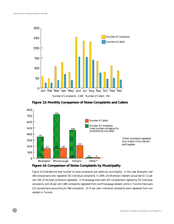

**Figure 13: Monthly Comparison of Noise Complaints and Callers**



### **Figure 14: Comparison of Noise Complaints by Municipality**

Figure 14 illustrates the total number of noise complaints and callers by municipality. In this case, Brampton had 160 complainants who registered 351 individual complaints. In 2004, one Brampton resident accounted for 11 per cent (40) of the total complaints registered. In Mississauga there were 167 complainants registering 722 individual complaints, with 26 per cent (189) complaints registered from one Mississauga resident, while in Toronto there were 213 complainants accounting for 460 complaints. 23 (5 per cent) individual complaints were registered from one resident in Toronto.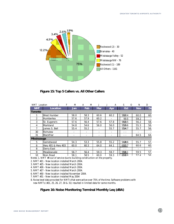

**Figure 15: Top 5 Callers vs. All Other Callers**

| <b>NMT</b> Location | J<br>F            | М    | М<br>A | J          | J<br>A | s<br>$\bf{0}$ | N           | D   |
|---------------------|-------------------|------|--------|------------|--------|---------------|-------------|-----|
| <b>NMT</b>          | Location          | Jan  | Feb    | <b>Mar</b> | Apr    | Oct           | <b>Nov</b>  | De  |
| <b>Toronto</b>      |                   |      |        |            |        |               |             |     |
|                     | West Humber       | 58.0 | 58.3   | 60.6       | 60.2   | 5%9.4         | 60.0        | 60. |
| $\overline{2}$      | Humberlea         | 57.6 | 57.9   | 60.2       |        | 59.5          | 59.2        |     |
| 3                   | St. Eugene's      | 57.6 | 56.4   | 57.6       | 57.8   | 5650.5        | 56.2        | 58. |
| 4                   | Markland          | 54.8 | 54.6   | 56.0       | 56.0   | 5559.6        | 55.3        | 56. |
|                     | James S. Bell     | 55.4 | 55.2   |            | 55.7   | 554.7         | 55.7        | 56. |
| 30                  | Richview          |      |        |            |        | $ -$          |             |     |
| 31                  | <b>Blackfriar</b> |      |        |            |        |               | 64.5        | 64. |
| <b>Mississauga</b>  |                   |      |        |            |        |               |             |     |
| 5                   | Garnetwood        | 54.3 | 53.3   | 55.8       | 55.2   | 54549.6       | 55.7        | 57. |
| 6                   | Hwy 401 & Hwy 403 | 60.0 | 60.3   | 64.0       | 64.1   | 633.7         | 60.6        | 60. |
| 8                   | Derry East        |      | ٠      |            |        | $ -$          |             |     |
| 9                   | Meadowvale        | 56.7 | 56.4   | 59.3       | 59.7   | 5959.1        | 59.5        | 57. |
| 10                  | <b>Bren Road</b>  | 58.1 | 58.5   | 60.0       | 59.3   | 605R          | <b>57 4</b> | 56  |

Notes: 1. NMT #8 out of service due to building construction on the property.

2. NMT #21 - New location installed March 2004.

3. NMT #25 - New location installed March 2004.

4. NMT #26 - New location installed March 2004.

5. NMT #27 - New location installed March 2004.

6. NMT #30 - New location installed November 2004.

7. NMT #31 - New location installed May 2004

8. Noise level data provided for NMTs that were active over 75% of the time. Software problems with new NMTs (#21, 25, 26, 27, 30 & 31) resulted in limited data for some months.

### **Figure 16: Noise Monitoring Terminal Monthly Leq (dBA)**